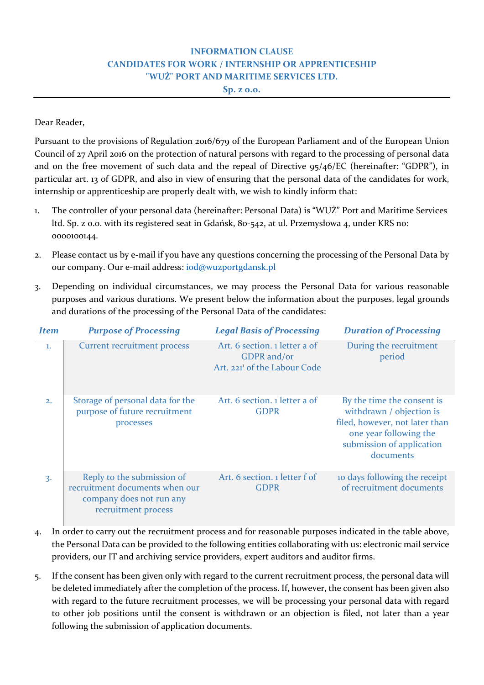## **INFORMATION CLAUSE CANDIDATES FOR WORK / INTERNSHIP OR APPRENTICESHIP "WUŻ" PORT AND MARITIME SERVICES LTD.**

**Sp. z o.o.**

## Dear Reader,

Pursuant to the provisions of Regulation 2016/679 of the European Parliament and of the European Union Council of 27 April 2016 on the protection of natural persons with regard to the processing of personal data and on the free movement of such data and the repeal of Directive 95/46/EC (hereinafter: "GDPR"), in particular art. 13 of GDPR, and also in view of ensuring that the personal data of the candidates for work, internship or apprenticeship are properly dealt with, we wish to kindly inform that:

- 1. The controller of your personal data (hereinafter: Personal Data) is "WUŻ" Port and Maritime Services ltd. Sp. z o.o. with its registered seat in Gdańsk, 80‐542, at ul. Przemysłowa 4, under KRS no: 0000100144.
- 2. Please contact us by e-mail if you have any questions concerning the processing of the Personal Data by our company. Our e-mail address: iod@wuzportgdansk.pl
- 3. Depending on individual circumstances, we may process the Personal Data for various reasonable purposes and various durations. We present below the information about the purposes, legal grounds and durations of the processing of the Personal Data of the candidates:

| <b>Item</b> | <b>Purpose of Processing</b>                                                                                    | <b>Legal Basis of Processing</b>                                                         | <b>Duration of Processing</b>                                                                                                                                |
|-------------|-----------------------------------------------------------------------------------------------------------------|------------------------------------------------------------------------------------------|--------------------------------------------------------------------------------------------------------------------------------------------------------------|
| 1.          | <b>Current recruitment process</b>                                                                              | Art. 6 section. 1 letter a of<br>GDPR and/or<br>Art. 221 <sup>1</sup> of the Labour Code | During the recruitment<br>period                                                                                                                             |
| 2.          | Storage of personal data for the<br>purpose of future recruitment<br>processes                                  | Art. 6 section. 1 letter a of<br><b>GDPR</b>                                             | By the time the consent is<br>withdrawn / objection is<br>filed, however, not later than<br>one year following the<br>submission of application<br>documents |
| 3.          | Reply to the submission of<br>recruitment documents when our<br>company does not run any<br>recruitment process | Art. 6 section. 1 letter f of<br><b>GDPR</b>                                             | to days following the receipt<br>of recruitment documents                                                                                                    |

- 4. In order to carry out the recruitment process and for reasonable purposes indicated in the table above, the Personal Data can be provided to the following entities collaborating with us: electronic mail service providers, our IT and archiving service providers, expert auditors and auditor firms.
- 5. If the consent has been given only with regard to the current recruitment process, the personal data will be deleted immediately after the completion of the process. If, however, the consent has been given also with regard to the future recruitment processes, we will be processing your personal data with regard to other job positions until the consent is withdrawn or an objection is filed, not later than a year following the submission of application documents.